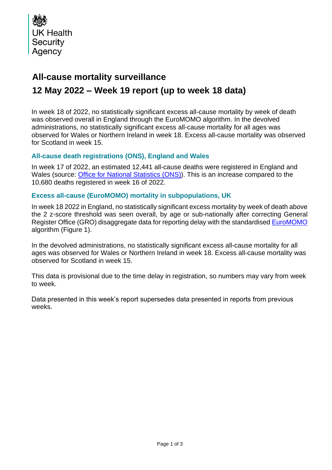

## **All-cause mortality surveillance**

# **12 May 2022 – Week 19 report (up to week 18 data)**

In week 18 of 2022, no statistically significant excess all-cause mortality by week of death was observed overall in England through the EuroMOMO algorithm. In the devolved administrations, no statistically significant excess all-cause mortality for all ages was observed for Wales or Northern Ireland in week 18. Excess all-cause mortality was observed for Scotland in week 15.

### **All-cause death registrations (ONS), England and Wales**

In week 17 of 2022, an estimated 12,441 all-cause deaths were registered in England and Wales (source: [Office for National Statistics](http://www.ons.gov.uk/peoplepopulationandcommunity/birthsdeathsandmarriages/deaths/datasets/weeklyprovisionalfiguresondeathsregisteredinenglandandwales) (ONS)). This is an increase compared to the 10,680 deaths registered in week 16 of 2022.

### **Excess all-cause (EuroMOMO) mortality in subpopulations, UK**

In week 18 2022 in England, no statistically significant excess mortality by week of death above the 2 z-score threshold was seen overall, by age or sub-nationally after correcting General Register Office (GRO) disaggregate data for reporting delay with the standardised [EuroMOMO](http://www.euromomo.eu/) algorithm (Figure 1).

In the devolved administrations, no statistically significant excess all-cause mortality for all ages was observed for Wales or Northern Ireland in week 18. Excess all-cause mortality was observed for Scotland in week 15.

This data is provisional due to the time delay in registration, so numbers may vary from week to week.

Data presented in this week's report supersedes data presented in reports from previous weeks.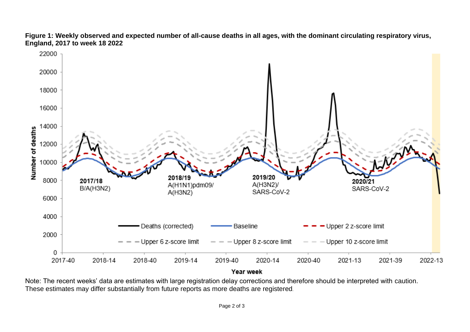



Note: The recent weeks' data are estimates with large registration delay corrections and therefore should be interpreted with caution. These estimates may differ substantially from future reports as more deaths are registered*.*